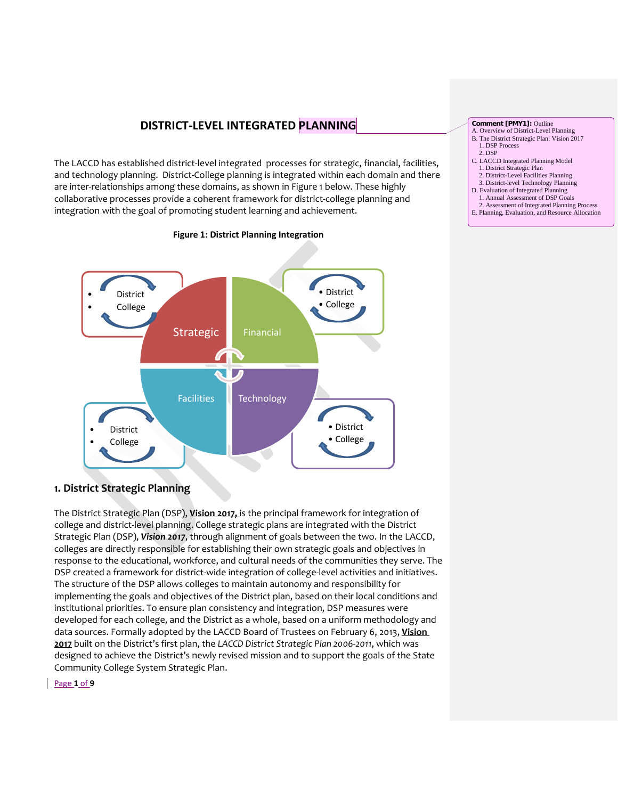# **DISTRICT-LEVEL INTEGRATED PLANNING**

The LACCD has established district-level integrated processes for strategic, financial, facilities, and technology planning. District-College planning is integrated within each domain and there are inter-relationships among these domains, as shown in Figure 1 below. These highly collaborative processes provide a coherent framework for district-college planning and integration with the goal of promoting student learning and achievement.



## **Figure 1: District Planning Integration**

#### **Comment [PMY1]:** Outline

- A. Overview of District-Level Planning B. The District Strategic Plan: Vision 2017
- 1. DSP Process
- 2. DSP
- C. LACCD Integrated Planning Model
- 1. District Strategic Plan 2. District-Level Facilities Planning
- 3. District-level Technology Planning D. Evaluation of Integrated Planning
- 
- 1. Annual Assessment of DSP Goals 2. Assessment of Integrated Planning Process E. Planning, Evaluation, and Resource Allocation

# **1. District Strategic Planning**

The District Strategic Plan (DSP), **Vision 2017,** is the principal framework for integration of college and district-level planning. College strategic plans are integrated with the District Strategic Plan (DSP), *Vision 2017*, through alignment of goals between the two. In the LACCD, colleges are directly responsible for establishing their own strategic goals and objectives in response to the educational, workforce, and cultural needs of the communities they serve. The DSP created a framework for district-wide integration of college-level activities and initiatives. The structure of the DSP allows colleges to maintain autonomy and responsibility for implementing the goals and objectives of the District plan, based on their local conditions and institutional priorities. To ensure plan consistency and integration, DSP measures were developed for each college, and the District as a whole, based on a uniform methodology and data sources. Formally adopted by the LACCD Board of Trustees on February 6, 2013, **Vision 2017** built on the District's first plan, the *LACCD District Strategic Plan 2006-2011*, which was designed to achieve the District's newly revised mission and to support the goals of the State Community College System Strategic Plan.

Page **1** of **9**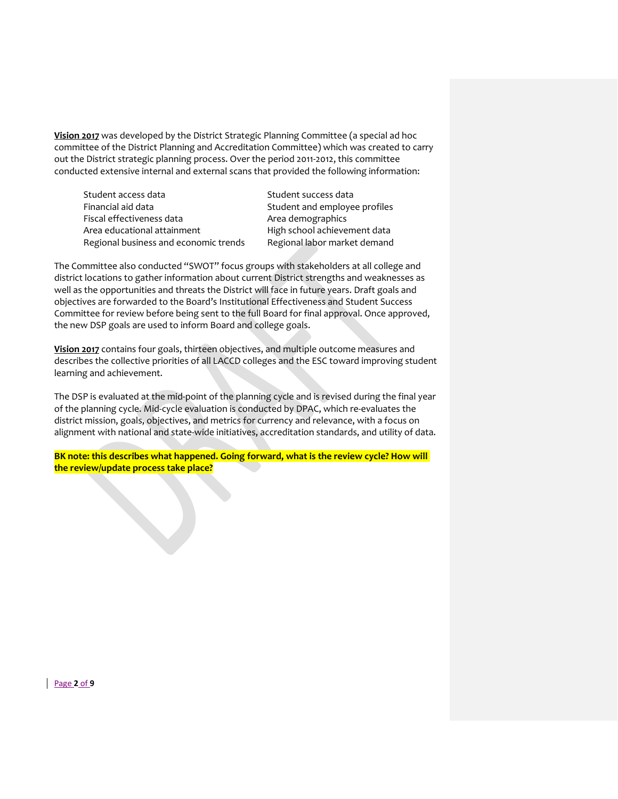**Vision 2017** was developed by the District Strategic Planning Committee (a special ad hoc committee of the District Planning and Accreditation Committee) which was created to carry out the District strategic planning process. Over the period 2011-2012, this committee conducted extensive internal and external scans that provided the following information:

Student access data Student success data Financial aid data Student and employee profiles Fiscal effectiveness data Area demographics Area educational attainment High school achievement data Regional business and economic trends Regional labor market demand

The Committee also conducted "SWOT" focus groups with stakeholders at all college and district locations to gather information about current District strengths and weaknesses as well as the opportunities and threats the District will face in future years. Draft goals and objectives are forwarded to the Board's Institutional Effectiveness and Student Success Committee for review before being sent to the full Board for final approval. Once approved, the new DSP goals are used to inform Board and college goals.

**Vision 2017** contains four goals, thirteen objectives, and multiple outcome measures and describes the collective priorities of all LACCD colleges and the ESC toward improving student learning and achievement.

The DSP is evaluated at the mid-point of the planning cycle and is revised during the final year of the planning cycle. Mid-cycle evaluation is conducted by DPAC, which re-evaluates the district mission, goals, objectives, and metrics for currency and relevance, with a focus on alignment with national and state-wide initiatives, accreditation standards, and utility of data.

**BK note: this describes what happened. Going forward, what is the review cycle? How will the review/update process take place?**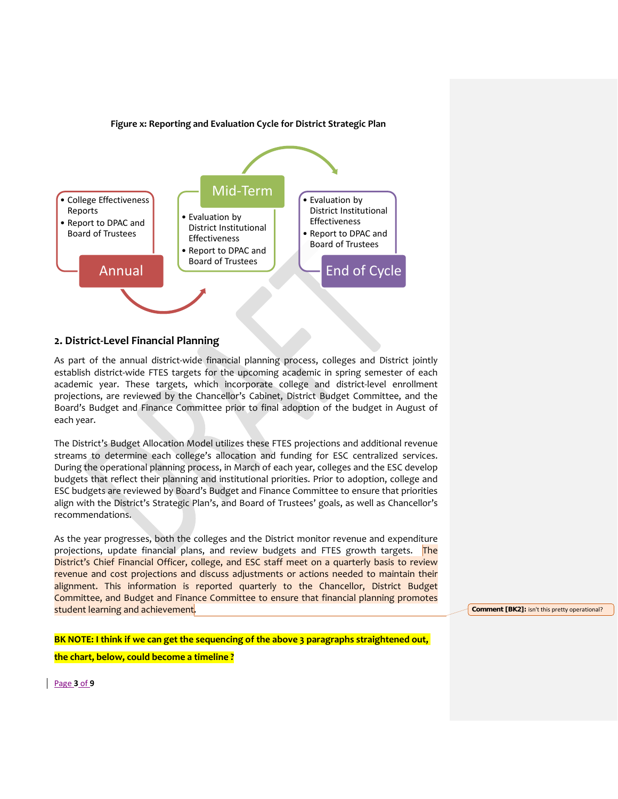

### **Figure x: Reporting and Evaluation Cycle for District Strategic Plan**

## **2. District-Level Financial Planning**

As part of the annual district-wide financial planning process, colleges and District jointly establish district-wide FTES targets for the upcoming academic in spring semester of each academic year. These targets, which incorporate college and district-level enrollment projections, are reviewed by the Chancellor's Cabinet, District Budget Committee, and the Board's Budget and Finance Committee prior to final adoption of the budget in August of each year.

The District's Budget Allocation Model utilizes these FTES projections and additional revenue streams to determine each college's allocation and funding for ESC centralized services. During the operational planning process, in March of each year, colleges and the ESC develop budgets that reflect their planning and institutional priorities. Prior to adoption, college and ESC budgets are reviewed by Board's Budget and Finance Committee to ensure that priorities align with the District's Strategic Plan's, and Board of Trustees' goals, as well as Chancellor's recommendations.

As the year progresses, both the colleges and the District monitor revenue and expenditure projections, update financial plans, and review budgets and FTES growth targets. The District's Chief Financial Officer, college, and ESC staff meet on a quarterly basis to review revenue and cost projections and discuss adjustments or actions needed to maintain their alignment. This information is reported quarterly to the Chancellor, District Budget Committee, and Budget and Finance Committee to ensure that financial planning promotes student learning and achievement.

**Comment [BK2]:** isn't this pretty operational?

**BK NOTE: I think if we can get the sequencing of the above 3 paragraphs straightened out,** 

**the chart, below, could become a timeline ?**

Page **3** of **9**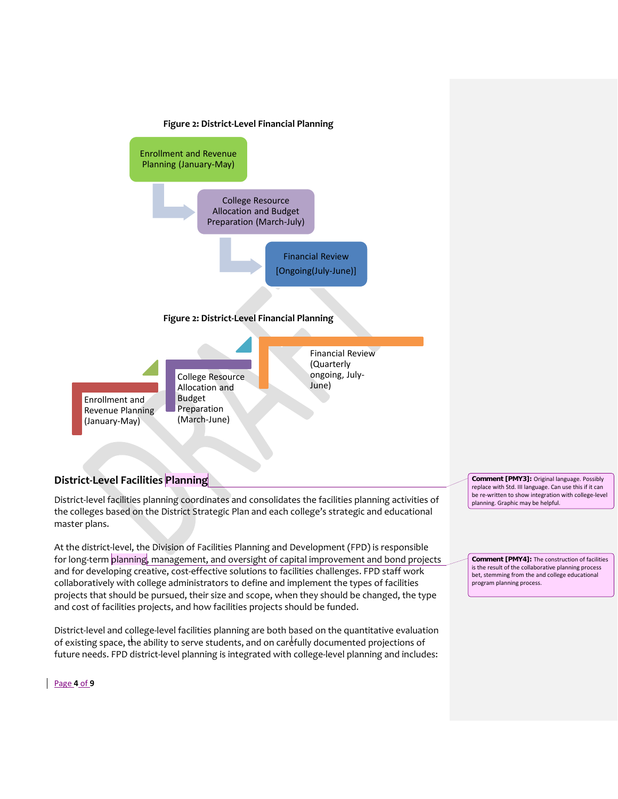



## **District-Level Facilities Planning**

District-level facilities planning coordinates and consolidates the facilities planning activities of the colleges based on the District Strategic Plan and each college's strategic and educational master plans.

At the district-level, the Division of Facilities Planning and Development (FPD) is responsible for long-term planning, management, and oversight of capital improvement and bond projects and for developing creative, cost-effective solutions to facilities challenges. FPD staff work collaboratively with college administrators to define and implement the types of facilities projects that should be pursued, their size and scope, when they should be changed, the type and cost of facilities projects, and how facilities projects should be funded.

District-level and college-level facilities planning are both based on the quantitative evaluation of existing space, the ability to serve students, and on carefully documented projections of future needs. FPD district-level planning is integrated with college-level planning and includes:

**Comment [PMY3]:** Original language. Possibly replace with Std. III language. Can use this if it can be re-written to show integration with college-level planning. Graphic may be helpful.

**Comment [PMY4]:** The construction of facilities is the result of the collaborative planning process bet, stemming from the and college educational program planning process.

### Page **4** of **9**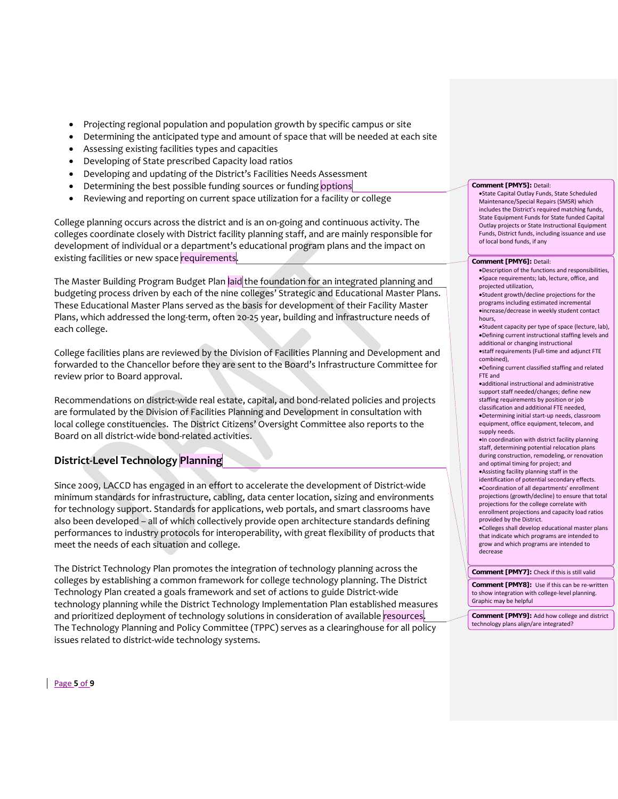- Projecting regional population and population growth by specific campus or site
- Determining the anticipated type and amount of space that will be needed at each site
- Assessing existing facilities types and capacities
- Developing of State prescribed Capacity load ratios
- Developing and updating of the District's Facilities Needs Assessment
- Determining the best possible funding sources or funding options
- Reviewing and reporting on current space utilization for a facility or college

College planning occurs across the district and is an on-going and continuous activity. The colleges coordinate closely with District facility planning staff, and are mainly responsible for development of individual or a department's educational program plans and the impact on existing facilities or new space requirements.

The Master Building Program Budget Plan laid the foundation for an integrated planning and budgeting process driven by each of the nine colleges' Strategic and Educational Master Plans. These Educational Master Plans served as the basis for development of their Facility Master Plans, which addressed the long-term, often 20-25 year, building and infrastructure needs of each college.

College facilities plans are reviewed by the Division of Facilities Planning and Development and forwarded to the Chancellor before they are sent to the Board's Infrastructure Committee for review prior to Board approval.

Recommendations on district-wide real estate, capital, and bond-related policies and projects are formulated by the Division of Facilities Planning and Development in consultation with local college constituencies. The District Citizens' Oversight Committee also reports to the Board on all district-wide bond-related activities.

## **District-Level Technology Planning**

Since 2009, LACCD has engaged in an effort to accelerate the development of District-wide minimum standards for infrastructure, cabling, data center location, sizing and environments for technology support. Standards for applications, web portals, and smart classrooms have also been developed – all of which collectively provide open architecture standards defining performances to industry protocols for interoperability, with great flexibility of products that meet the needs of each situation and college.

The District Technology Plan promotes the integration of technology planning across the colleges by establishing a common framework for college technology planning. The District Technology Plan created a goals framework and set of actions to guide District-wide technology planning while the District Technology Implementation Plan established measures and prioritized deployment of technology solutions in consideration of available resources. The Technology Planning and Policy Committee (TPPC) serves as a clearinghouse for all policy issues related to district-wide technology systems.

#### **Comment [PMY5]:** Detail:

•State Capital Outlay Funds, State Scheduled Maintenance/Special Repairs (SMSR) which includes the District's required matching funds, State Equipment Funds for State funded Capital Outlay projects or State Instructional Equipment Funds, District funds, including issuance and use of local bond funds, if any

#### **Comment [PMY6]:** Detail:

- •Description of the functions and responsibilities, •Space requirements; lab, lecture, office, and projected utilization,
- •Student growth/decline projections for the programs including estimated incremental •increase/decrease in weekly student contact hours,
- •Student capacity per type of space (lecture, lab), •Defining current instructional staffing levels and additional or changing instructional
- •staff requirements (Full-time and adjunct FTE combined),
- •Defining current classified staffing and related FTE and
- •additional instructional and administrative support staff needed/changes; define new staffing requirements by position or job classification and additional FTE needed, •Determining initial start-up needs, classroom equipment, office equipment, telecom, and supply needs.
- •In coordination with district facility planning staff, determining potential relocation plans during construction, remodeling, or renovation and optimal timing for project; and
- •Assisting facility planning staff in the identification of potential secondary effects. •Coordination of all departments' enrollment projections (growth/decline) to ensure that total projections for the college correlate with enrollment projections and capacity load ratios provided by the District.
- •Colleges shall develop educational master plans that indicate which programs are intended to grow and which programs are intended to decrease

#### **Comment [PMY7]:** Check if this is still valid

**Comment [PMY8]:** Use if this can be re-written to show integration with college-level planning. Graphic may be helpful

**Comment [PMY9]:** Add how college and district technology plans align/are integrated?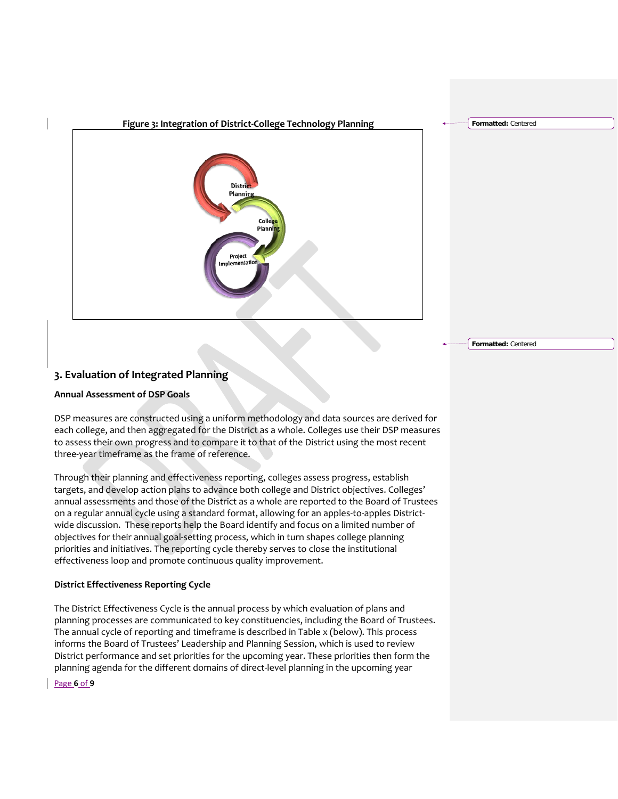

**3. Evaluation of Integrated Planning**

## **Annual Assessment of DSP Goals**

DSP measures are constructed using a uniform methodology and data sources are derived for each college, and then aggregated for the District as a whole. Colleges use their DSP measures to assess their own progress and to compare it to that of the District using the most recent three-year timeframe as the frame of reference.

Through their planning and effectiveness reporting, colleges assess progress, establish targets, and develop action plans to advance both college and District objectives. Colleges' annual assessments and those of the District as a whole are reported to the Board of Trustees on a regular annual cycle using a standard format, allowing for an apples-to-apples Districtwide discussion. These reports help the Board identify and focus on a limited number of objectives for their annual goal-setting process, which in turn shapes college planning priorities and initiatives. The reporting cycle thereby serves to close the institutional effectiveness loop and promote continuous quality improvement.

## **District Effectiveness Reporting Cycle**

The District Effectiveness Cycle is the annual process by which evaluation of plans and planning processes are communicated to key constituencies, including the Board of Trustees. The annual cycle of reporting and timeframe is described in Table x (below). This process informs the Board of Trustees' Leadership and Planning Session, which is used to review District performance and set priorities for the upcoming year. These priorities then form the planning agenda for the different domains of direct-level planning in the upcoming year

Page **6** of **9**

**Formatted:** Centered

**Formatted:** Centered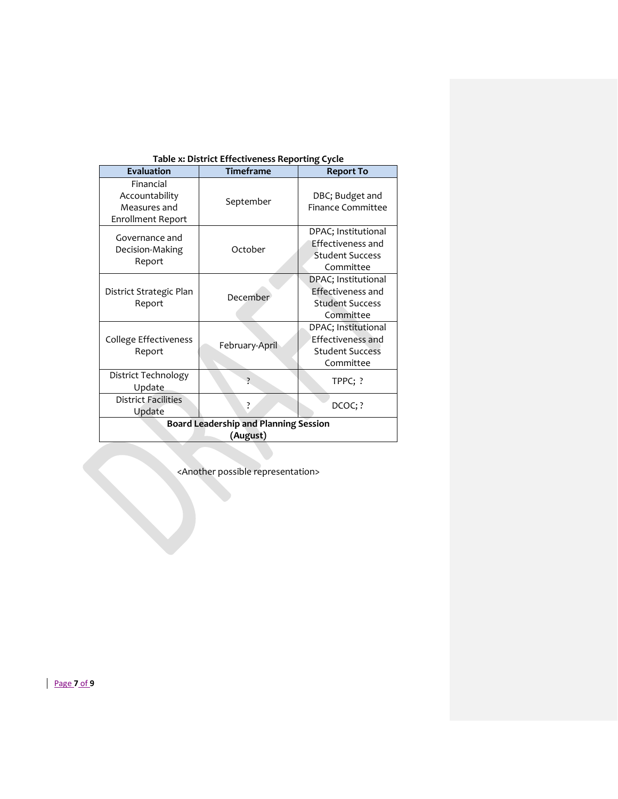| Table A. District Effectiveness Reporting Cycle                         |                  |                                                                                        |  |  |
|-------------------------------------------------------------------------|------------------|----------------------------------------------------------------------------------------|--|--|
| <b>Evaluation</b>                                                       | <b>Timeframe</b> | <b>Report To</b>                                                                       |  |  |
| Financial<br>Accountability<br>Measures and<br><b>Enrollment Report</b> | September        | DBC; Budget and<br><b>Finance Committee</b>                                            |  |  |
| Governance and<br>Decision-Making<br>Report                             | October          | DPAC; Institutional<br><b>Effectiveness and</b><br><b>Student Success</b><br>Committee |  |  |
| District Strategic Plan<br>Report                                       | December         | DPAC; Institutional<br>Effectiveness and<br><b>Student Success</b><br>Committee        |  |  |
| College Effectiveness<br>Report                                         | February-April   | DPAC; Institutional<br><b>Effectiveness and</b><br><b>Student Success</b><br>Committee |  |  |
| District Technology<br>Update                                           | 7                | TPPC; ?                                                                                |  |  |
| <b>District Facilities</b><br>Update                                    | ż.               | DCOC;?                                                                                 |  |  |
| <b>Board Leadership and Planning Session</b>                            |                  |                                                                                        |  |  |
| (August)                                                                |                  |                                                                                        |  |  |
|                                                                         |                  |                                                                                        |  |  |

| Table x: District Effectiveness Reporting Cycle |  |  |  |
|-------------------------------------------------|--|--|--|
|-------------------------------------------------|--|--|--|

<Another possible representation>

Page **7** of **9**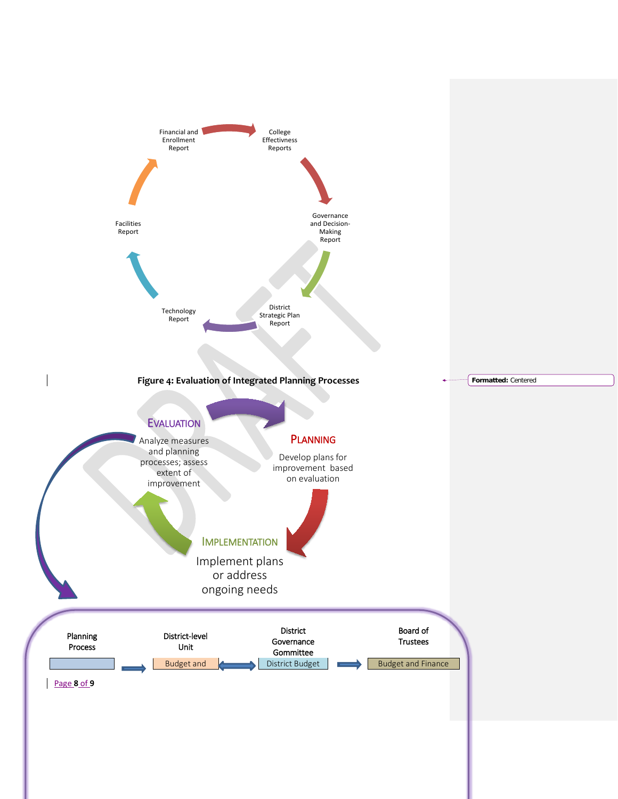